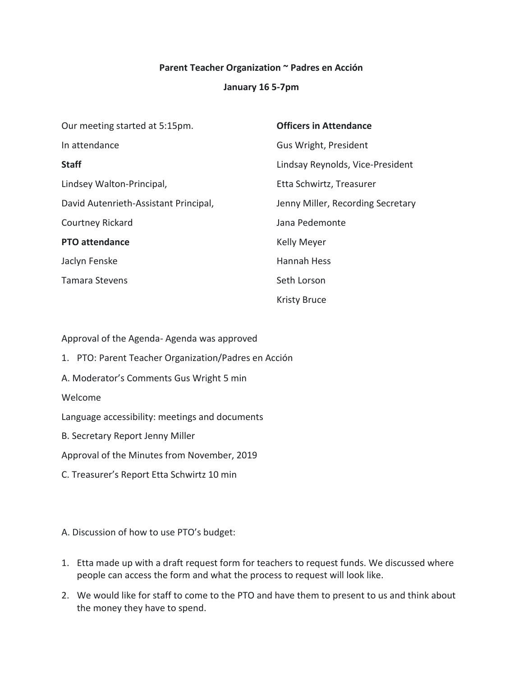### **Parent Teacher Organization ~ Padres en Acción**

#### **January 16 5-7pm**

| Our meeting started at 5:15pm.        | <b>Officers in Attendance</b>     |
|---------------------------------------|-----------------------------------|
| In attendance                         | Gus Wright, President             |
| <b>Staff</b>                          | Lindsay Reynolds, Vice-President  |
| Lindsey Walton-Principal,             | Etta Schwirtz, Treasurer          |
| David Autenrieth-Assistant Principal, | Jenny Miller, Recording Secretary |
| Courtney Rickard                      | Jana Pedemonte                    |
| <b>PTO attendance</b>                 | <b>Kelly Meyer</b>                |
| Jaclyn Fenske                         | Hannah Hess                       |
| <b>Tamara Stevens</b>                 | Seth Lorson                       |
|                                       | <b>Kristy Bruce</b>               |

Approval of the Agenda- Agenda was approved

- 1. PTO: Parent Teacher Organization/Padres en Acción
- A. Moderator's Comments Gus Wright 5 min

Welcome

Language accessibility: meetings and documents

- B. Secretary Report Jenny Miller
- Approval of the Minutes from November, 2019
- C. Treasurer's Report Etta Schwirtz 10 min

A. Discussion of how to use PTO's budget:

- 1. Etta made up with a draft request form for teachers to request funds. We discussed where people can access the form and what the process to request will look like.
- 2. We would like for staff to come to the PTO and have them to present to us and think about the money they have to spend.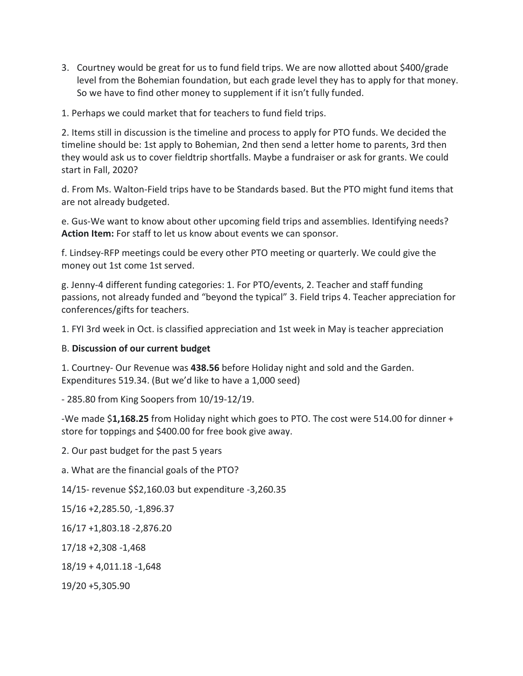3. Courtney would be great for us to fund field trips. We are now allotted about \$400/grade level from the Bohemian foundation, but each grade level they has to apply for that money. So we have to find other money to supplement if it isn't fully funded.

1. Perhaps we could market that for teachers to fund field trips.

2. Items still in discussion is the timeline and process to apply for PTO funds. We decided the timeline should be: 1st apply to Bohemian, 2nd then send a letter home to parents, 3rd then they would ask us to cover fieldtrip shortfalls. Maybe a fundraiser or ask for grants. We could start in Fall, 2020?

d. From Ms. Walton-Field trips have to be Standards based. But the PTO might fund items that are not already budgeted.

e. Gus-We want to know about other upcoming field trips and assemblies. Identifying needs? **Action Item:** For staff to let us know about events we can sponsor.

f. Lindsey-RFP meetings could be every other PTO meeting or quarterly. We could give the money out 1st come 1st served.

g. Jenny-4 different funding categories: 1. For PTO/events, 2. Teacher and staff funding passions, not already funded and "beyond the typical" 3. Field trips 4. Teacher appreciation for conferences/gifts for teachers.

1. FYI 3rd week in Oct. is classified appreciation and 1st week in May is teacher appreciation

### B. **Discussion of our current budget**

1. Courtney- Our Revenue was **438.56** before Holiday night and sold and the Garden. Expenditures 519.34. (But we'd like to have a 1,000 seed)

- 285.80 from King Soopers from 10/19-12/19.

-We made \$**1,168.25** from Holiday night which goes to PTO. The cost were 514.00 for dinner + store for toppings and \$400.00 for free book give away.

2. Our past budget for the past 5 years

a. What are the financial goals of the PTO?

14/15- revenue \$\$2,160.03 but expenditure -3,260.35

15/16 +2,285.50, -1,896.37

16/17 +1,803.18 -2,876.20

17/18 +2,308 -1,468

18/19 + 4,011.18 -1,648

19/20 +5,305.90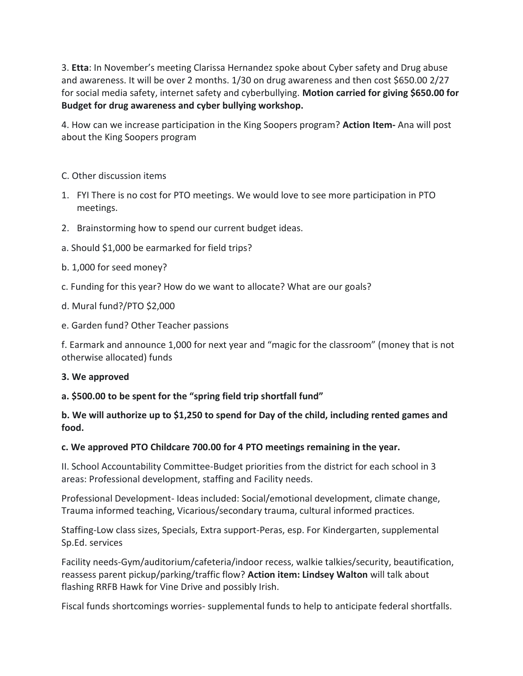3. **Etta**: In November's meeting Clarissa Hernandez spoke about Cyber safety and Drug abuse and awareness. It will be over 2 months. 1/30 on drug awareness and then cost \$650.00 2/27 for social media safety, internet safety and cyberbullying. **Motion carried for giving \$650.00 for Budget for drug awareness and cyber bullying workshop.**

4. How can we increase participation in the King Soopers program? **Action Item-** Ana will post about the King Soopers program

# C. Other discussion items

- 1. FYI There is no cost for PTO meetings. We would love to see more participation in PTO meetings.
- 2. Brainstorming how to spend our current budget ideas.
- a. Should \$1,000 be earmarked for field trips?
- b. 1,000 for seed money?
- c. Funding for this year? How do we want to allocate? What are our goals?
- d. Mural fund?/PTO \$2,000
- e. Garden fund? Other Teacher passions

f. Earmark and announce 1,000 for next year and "magic for the classroom" (money that is not otherwise allocated) funds

### **3. We approved**

### **a. \$500.00 to be spent for the "spring field trip shortfall fund"**

# **b. We will authorize up to \$1,250 to spend for Day of the child, including rented games and food.**

### **c. We approved PTO Childcare 700.00 for 4 PTO meetings remaining in the year.**

II. School Accountability Committee-Budget priorities from the district for each school in 3 areas: Professional development, staffing and Facility needs.

Professional Development- Ideas included: Social/emotional development, climate change, Trauma informed teaching, Vicarious/secondary trauma, cultural informed practices.

Staffing-Low class sizes, Specials, Extra support-Peras, esp. For Kindergarten, supplemental Sp.Ed. services

Facility needs-Gym/auditorium/cafeteria/indoor recess, walkie talkies/security, beautification, reassess parent pickup/parking/traffic flow? **Action item: Lindsey Walton** will talk about flashing RRFB Hawk for Vine Drive and possibly Irish.

Fiscal funds shortcomings worries- supplemental funds to help to anticipate federal shortfalls.